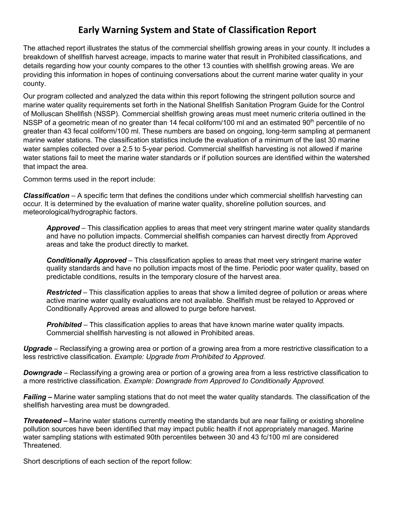### **Early Warning System and State of Classification Report**

The attached report illustrates the status of the commercial shellfish growing areas in your county. It includes a breakdown of shellfish harvest acreage, impacts to marine water that result in Prohibited classifications, and details regarding how your county compares to the other 13 counties with shellfish growing areas. We are providing this information in hopes of continuing conversations about the current marine water quality in your county.

Our program collected and analyzed the data within this report following the stringent pollution source and marine water quality requirements set forth in the National Shellfish Sanitation Program Guide for the Control of Molluscan Shellfish (NSSP). Commercial shellfish growing areas must meet numeric criteria outlined in the NSSP of a geometric mean of no greater than 14 fecal coliform/100 ml and an estimated 90<sup>th</sup> percentile of no greater than 43 fecal coliform/100 ml. These numbers are based on ongoing, long-term sampling at permanent marine water stations. The classification statistics include the evaluation of a minimum of the last 30 marine water samples collected over a 2.5 to 5-year period. Commercial shellfish harvesting is not allowed if marine water stations fail to meet the marine water standards or if pollution sources are identified within the watershed that impact the area.

Common terms used in the report include:

*Classification* – A specific term that defines the conditions under which commercial shellfish harvesting can occur. It is determined by the evaluation of marine water quality, shoreline pollution sources, and meteorological/hydrographic factors.

*Approved* – This classification applies to areas that meet very stringent marine water quality standards and have no pollution impacts. Commercial shellfish companies can harvest directly from Approved areas and take the product directly to market.

*Conditionally Approved* – This classification applies to areas that meet very stringent marine water quality standards and have no pollution impacts most of the time. Periodic poor water quality, based on predictable conditions, results in the temporary closure of the harvest area.

*Restricted* – This classification applies to areas that show a limited degree of pollution or areas where active marine water quality evaluations are not available. Shellfish must be relayed to Approved or Conditionally Approved areas and allowed to purge before harvest.

*Prohibited* – This classification applies to areas that have known marine water quality impacts. Commercial shellfish harvesting is not allowed in Prohibited areas.

*Upgrade* – Reclassifying a growing area or portion of a growing area from a more restrictive classification to a less restrictive classification. *Example: Upgrade from Prohibited to Approved.*

*Downgrade* – Reclassifying a growing area or portion of a growing area from a less restrictive classification to a more restrictive classification. *Example: Downgrade from Approved to Conditionally Approved.*

*Failing –* Marine water sampling stations that do not meet the water quality standards. The classification of the shellfish harvesting area must be downgraded.

*Threatened –* Marine water stations currently meeting the standards but are near failing or existing shoreline pollution sources have been identified that may impact public health if not appropriately managed. Marine water sampling stations with estimated 90th percentiles between 30 and 43 fc/100 ml are considered Threatened.

Short descriptions of each section of the report follow: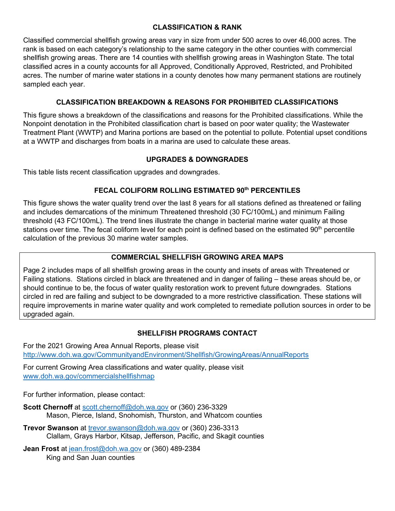#### **CLASSIFICATION & RANK**

Classified commercial shellfish growing areas vary in size from under 500 acres to over 46,000 acres. The rank is based on each category's relationship to the same category in the other counties with commercial shellfish growing areas. There are 14 counties with shellfish growing areas in Washington State. The total classified acres in a county accounts for all Approved, Conditionally Approved, Restricted, and Prohibited acres. The number of marine water stations in a county denotes how many permanent stations are routinely sampled each year.

#### **CLASSIFICATION BREAKDOWN & REASONS FOR PROHIBITED CLASSIFICATIONS**

This figure shows a breakdown of the classifications and reasons for the Prohibited classifications. While the Nonpoint denotation in the Prohibited classification chart is based on poor water quality; the Wastewater Treatment Plant (WWTP) and Marina portions are based on the potential to pollute. Potential upset conditions at a WWTP and discharges from boats in a marina are used to calculate these areas.

#### **UPGRADES & DOWNGRADES**

This table lists recent classification upgrades and downgrades.

#### **FECAL COLIFORM ROLLING ESTIMATED 90th PERCENTILES**

This figure shows the water quality trend over the last 8 years for all stations defined as threatened or failing and includes demarcations of the minimum Threatened threshold (30 FC/100mL) and minimum Failing threshold (43 FC/100mL). The trend lines illustrate the change in bacterial marine water quality at those stations over time. The fecal coliform level for each point is defined based on the estimated 90<sup>th</sup> percentile calculation of the previous 30 marine water samples.

#### **COMMERCIAL SHELLFISH GROWING AREA MAPS**

Page 2 includes maps of all shellfish growing areas in the county and insets of areas with Threatened or Failing stations. Stations circled in black are threatened and in danger of failing – these areas should be, or should continue to be, the focus of water quality restoration work to prevent future downgrades. Stations circled in red are failing and subject to be downgraded to a more restrictive classification. These stations will require improvements in marine water quality and work completed to remediate pollution sources in order to be upgraded again.

#### **SHELLFISH PROGRAMS CONTACT**

For the 2021 Growing Area Annual Reports, please visit <http://www.doh.wa.gov/CommunityandEnvironment/Shellfish/GrowingAreas/AnnualReports>

For current Growing Area classifications and water quality, please visit [www.doh.wa.gov/commercialshellfishmap](http://www.doh.wa.gov/commercialshellfishmap)

For further information, please contact:

- **Scott Chernoff** at [scott.chernoff@doh.wa.gov](mailto:scott.chernoff@doh.wa.gov) or (360) 236-3329 Mason, Pierce, Island, Snohomish, Thurston, and Whatcom counties
- **Trevor Swanson** at [trevor.swanson@doh.wa.gov](mailto:trevor.swanson@doh.wa.gov) or (360) 236-3313 Clallam, Grays Harbor, Kitsap, Jefferson, Pacific, and Skagit counties

**Jean Frost** at [jean.frost@doh.wa.gov](mailto:jean.frost@doh.wa.gov) or (360) 489-2384 King and San Juan counties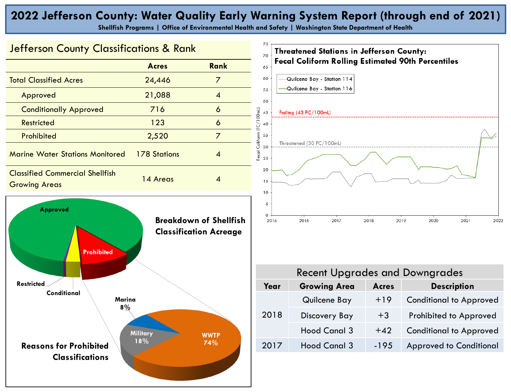## **2022 Jefferson County: Water Quality Early Warning System Report (through end of 2021)**

**Shellfish Programs | Office of Environmental Health and Safety | Washington State Department of Health**